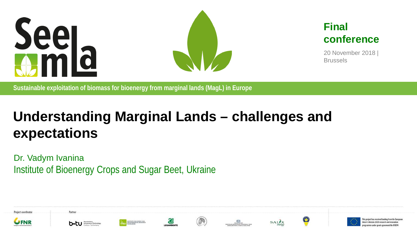



#### **Final conference**

20 November 2018 | Brussels

**Sustainable exploitation of biomass for bioenergy from marginal lands (MagL) in Europe**

## **Understanding Marginal Lands – challenges and expectations**

Dr. Vadym Ivanina Institute of Bioenergy Crops and Sugar Beet, Ukraine





Partner

















project has received funding from the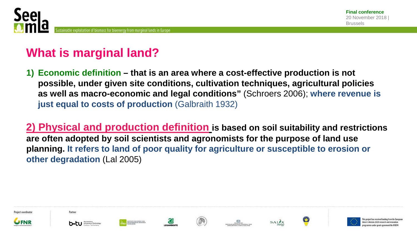

## **What is marginal land?**

**1) Economic definition – that is an area where a cost-effective production is not possible, under given site conditions, cultivation techniques, agricultural policies as well as macro-economic and legal conditions"** (Schroers 2006); **where revenue is just equal to costs of production** (Galbraith 1932)

**2) Physical and production definition is based on soil suitability and restrictions are often adopted by soil scientists and agronomists for the purpose of land use planning. It refers to land of poor quality for agriculture or susceptible to erosion or other degradation** (Lal 2005)

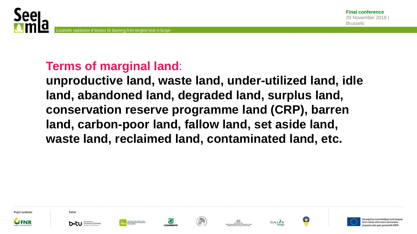

#### **Terms of marginal land**:

**unproductive land, waste land, under-utilized land, idle land, abandoned land, degraded land, surplus land, conservation reserve programme land (CRP), barren land, carbon-poor land, fallow land, set aside land, waste land, reclaimed land, contaminated land, etc.**

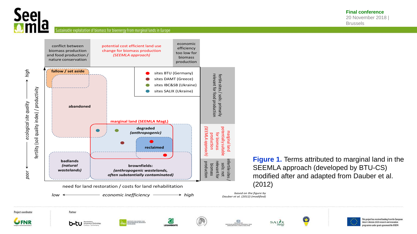

Brussels

Sustainable exploitation of biomass for bioenergy from marginal lands in Europe



**LEGAMBIENT** 

**Figure 1.** Terms attributed to marginal land in the SEEMLA approach (developed by BTU-CS) modified after and adapted from Dauber et al. (2012)

*based on the figure by Dauber et al. (2012) (modified)*



b÷t∪



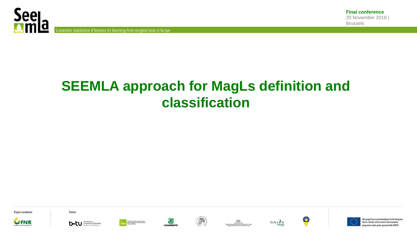

Sustainable exploitation of biomass for bioenergy from marginal lands in Europe

## **SEEMLA approach for MagLs definition and classification**

Project coordinator



Partner





Œ











 $\bullet$ 



This project has received funding from the European Union's Horizon 2020 research and innovation rogramme under grant agreement No 691874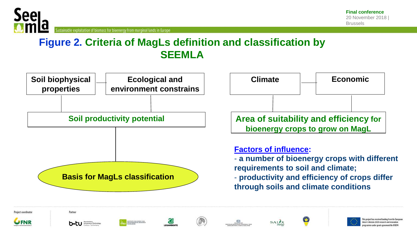

s project has received funding trom the

nion's Horizon 2020 research and inno

Sustainable exploitation of biomass for bioenergy from marginal lands in Europe

#### **Figure 2. Criteria of MagLs definition and classification by SEEMLA**



SALIX

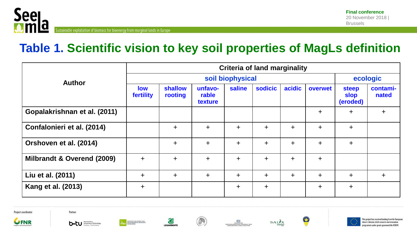

## **Table 1. Scientific vision to key soil properties of MagLs definition**

|                              |                         | <b>Criteria of land marginality</b> |                             |           |           |           |            |                                         |                   |
|------------------------------|-------------------------|-------------------------------------|-----------------------------|-----------|-----------|-----------|------------|-----------------------------------------|-------------------|
| <b>Author</b>                | soil biophysical        |                                     |                             |           |           | ecologic  |            |                                         |                   |
|                              | <b>low</b><br>fertility | shallow<br>rooting                  | unfavo-<br>rable<br>texture | saline    | sodicic   | acidic    | overwet    | <b>steep</b><br><b>slop</b><br>(eroded) | contami-<br>nated |
| Gopalakrishnan et al. (2011) |                         |                                     |                             |           |           |           | $\ddot{}$  | $\pm$                                   | $\pm$             |
| Confalonieri et al. (2014)   |                         | $+$                                 | $\ddagger$                  | $\ddag$   | $\ddot{}$ | $\ddot{}$ | $\ddagger$ | $\ddot{}$                               |                   |
| Orshoven et al. (2014)       |                         | $+$                                 | $\ddag$                     | $\ddot{}$ | $\pm$     | $\ddot{}$ | $+$        | $\ddag$                                 |                   |
| Milbrandt & Overend (2009)   | $\ddot{}$               | $\pm$                               | $\ddot{}$                   | $\ddot{}$ | $\ddag$   | $\ddot{}$ | $+$        |                                         |                   |
| Liu et al. (2011)            | $\div$                  | $+$                                 | $\ddot{}$                   | $\ddot{}$ | $\ddot{}$ | $\ddag$   | $+$        | $+$                                     | $+$               |
| Kang et al. (2013)           | $\pm$                   |                                     |                             | $\ddag$   | $\ddag$   |           | $\ddagger$ | $\pm$                                   |                   |

Project coordinator



b.tu **below** of behaviors





**LEGAMBIENTS** 







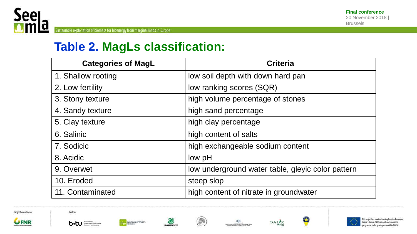

#### **Table 2. MagLs classification:**

| <b>Categories of MagL</b> | <b>Criteria</b>                                   |
|---------------------------|---------------------------------------------------|
| 1. Shallow rooting        | low soil depth with down hard pan                 |
| 2. Low fertility          | low ranking scores (SQR)                          |
| 3. Stony texture          | high volume percentage of stones                  |
| 4. Sandy texture          | high sand percentage                              |
| 5. Clay texture           | high clay percentage                              |
| 6. Salinic                | high content of salts                             |
| 7. Sodicic                | high exchangeable sodium content                  |
| 8. Acidic                 | low pH                                            |
| 9. Overwet                | low underground water table, gleyic color pattern |
| 10. Eroded                | steep slop                                        |
| 11. Contaminated          | high content of nitrate in groundwater            |





b-tu **book** 







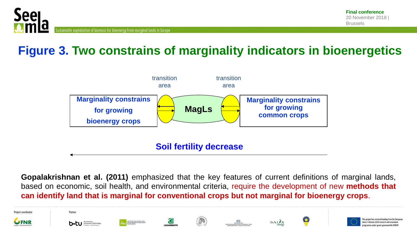

project has received funding trom the Eu

tion's Norizon 2020 research and innova

## **Figure 3. Two constrains of marginality indicators in bioenergetics**



**Gopalakrishnan et al. (2011)** emphasized that the key features of current definitions of marginal lands, based on economic, soil health, and environmental criteria, require the development of new **methods that can identify land that is marginal for conventional crops but not marginal for bioenergy crops**.

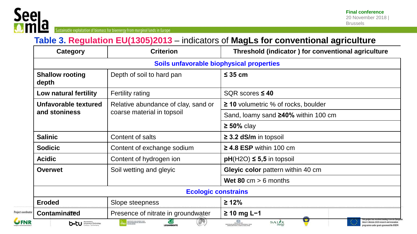

Project coordina

 $\bm{\mathsf{U}}$ FNI

Sustainable exploitation of biomass for bioenergy from marginal lands in Europe

#### **Table 3. Regulation EU(1305)2013** – indicators of **MagLs for conventional agriculture**

| <b>Category</b>                           | <b>Criterion</b>                                                             | Threshold (indicator) for conventional agriculture             |  |  |  |  |  |
|-------------------------------------------|------------------------------------------------------------------------------|----------------------------------------------------------------|--|--|--|--|--|
| Soils unfavorable biophysical properties  |                                                                              |                                                                |  |  |  |  |  |
| <b>Shallow rooting</b><br>depth           | Depth of soil to hard pan                                                    | $\leq$ 35 cm                                                   |  |  |  |  |  |
| Low natural fertility                     | <b>Fertility rating</b>                                                      | SQR scores $\leq 40$                                           |  |  |  |  |  |
| Unfavorable textured                      | Relative abundance of clay, sand or                                          | $\geq$ 10 volumetric % of rocks, boulder                       |  |  |  |  |  |
| and stoniness                             | coarse material in topsoil                                                   | Sand, loamy sand $\geq 40\%$ within 100 cm                     |  |  |  |  |  |
|                                           |                                                                              | $\geq 50\%$ clay                                               |  |  |  |  |  |
| <b>Salinic</b>                            | Content of salts                                                             | $\geq$ 3.2 dS/m in topsoil                                     |  |  |  |  |  |
| <b>Sodicic</b>                            | Content of exchange sodium                                                   | $\geq$ 4.8 ESP within 100 cm                                   |  |  |  |  |  |
| <b>Acidic</b>                             | Content of hydrogen ion                                                      | $pH(H2O) \leq 5.5$ in topsoil                                  |  |  |  |  |  |
| Soil wetting and gleyic<br><b>Overwet</b> |                                                                              | Gleyic color pattern within 40 cm                              |  |  |  |  |  |
|                                           |                                                                              | Wet 80 cm $> 6$ months                                         |  |  |  |  |  |
| <b>Ecologic constrains</b>                |                                                                              |                                                                |  |  |  |  |  |
| <b>Eroded</b>                             | Slope steepness                                                              | $\geq 12\%$                                                    |  |  |  |  |  |
| Contaminated                              | Presence of nitrate in groundwater                                           | $≥ 10$ mg L-1                                                  |  |  |  |  |  |
| b.tu <b>Streetly of Technology</b>        | <b>WATHUT FOR ENERGY AND</b><br>ENVIRONMENTAL RESEARCH<br><b>LEGAMBIENTE</b> | <b>SAL</b><br>HELENE MAYARE<br>LAMAS MAYOR (PRACEDONA & THOUS) |  |  |  |  |  |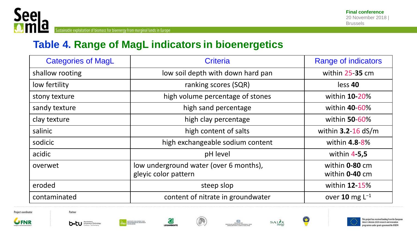

#### **Table 4. Range of MagL indicators in bioenergetics**

| <b>Categories of MagL</b> | <b>Criteria</b>                                                | <b>Range of indicators</b>       |
|---------------------------|----------------------------------------------------------------|----------------------------------|
| shallow rooting           | low soil depth with down hard pan                              | within 25-35 cm                  |
| low fertility             | ranking scores (SQR)                                           | less 40                          |
| stony texture             | high volume percentage of stones                               | within <b>10-20%</b>             |
| sandy texture             | high sand percentage                                           | within 40-60%                    |
| clay texture              | high clay percentage                                           | within 50-60%                    |
| salinic                   | high content of salts                                          | within $3.2 - 16$ dS/m           |
| sodicic                   | high exchangeable sodium content                               | within 4.8-8%                    |
| acidic                    | pH level                                                       | within $4-5,5$                   |
| overwet                   | low underground water (over 6 months),<br>gleyic color pattern | within 0-80 cm<br>within 0-40 cm |
| eroded                    | steep slop                                                     | within <b>12-15%</b>             |
| contaminated              | content of nitrate in groundwater                              | over 10 mg $L^{-1}$              |















 $\bullet$ 



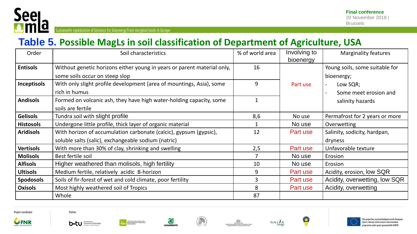

Sustainable exploitation of biomass for bioenergy from marginal lands in Europe

#### **Table 5. Possible MagLs in soil classification of Department of Agriculture, USA**

| Order              | Soil characteristics                                                                                      | % of world area | Involving to<br>bioenergy | Marginality features                         |
|--------------------|-----------------------------------------------------------------------------------------------------------|-----------------|---------------------------|----------------------------------------------|
| <b>Entisols</b>    | Without genetic horizons either young in years or parent material only,<br>some soils occur on steep slop | 16              |                           | Young soils, some suitable for<br>bioenergy; |
| <b>Inceptisols</b> | With only slight profile development (area of mountings, Asia), some<br>rich in humus                     | 9               | Part use                  | Low SQR;<br>Some meet erosion and            |
| <b>Andisols</b>    | Formed on volcanic ash, they have high water-holding capacity, some<br>soils are fertile                  |                 |                           | salinity hazards                             |
| <b>Gelisols</b>    | Tundra soil with slight profile                                                                           | 8,6             | No use                    | Permafrost for 2 years or more               |
| <b>Histosols</b>   | Undergone little profile, thick layer of organic material                                                 |                 | No use                    | Overwetting                                  |
| <b>Aridisols</b>   | With horizon of accumulation carbonate (calcic), gypsum (gypsic),                                         | 12              | Part use                  | Salinity, sodicity, hardpan,                 |
|                    | soluble salts (salic), exchangeable sodium (natric)                                                       |                 |                           | dryness                                      |
| <b>Vertisols</b>   | With more than 30% of clay, shrinking and swelling                                                        | 2,5             | Part use                  | Unfavorable texture                          |
| <b>Molisols</b>    | Best fertile soil                                                                                         |                 | No use                    | Erosion                                      |
| <b>Alfisols</b>    | Higher weathered than molisols, high fertility                                                            | 10              | No use                    | Erosion                                      |
| <b>Ultisols</b>    | Medium fertile, relatively acidic B-horizon                                                               | 9               | Part use                  | Acidity, erosion, low SQR                    |
| <b>Spodosols</b>   | Soils of fir-forest of wet and cold climate, poor fertility                                               | 3               | Part use                  | Acidity, overwetting, low SQR                |
| <b>Oxisols</b>     | Most highly weathered soil of Tropics                                                                     | 8               | Part use                  | Acidity, overwetting                         |
|                    | Whole                                                                                                     | 87              |                           |                                              |

Project coordinator



b.tu *barbadary of Technology* 

TELL DISTURBANCE ASSAULT





**LEGAMBIENTS** 







This project has received funding from the European Union's Horizon 2020 research and innovation programme under grant agreement No 691874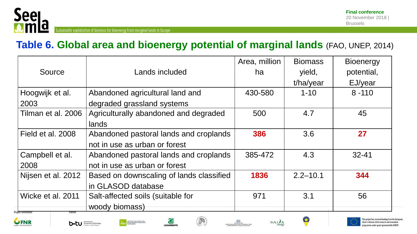

#### **Table 6. Global area and bioenergy potential of marginal lands** (FAO, UNEP, 2014)

|                              |                                          | Area, million | <b>Biomass</b> | <b>Bioenergy</b> |
|------------------------------|------------------------------------------|---------------|----------------|------------------|
| Source                       | Lands included                           | ha            | yield,         | potential,       |
|                              |                                          |               | t/ha/year      | EJ/year          |
| Hoogwijk et al.              | Abandoned agricultural land and          | 430-580       | $1 - 10$       | $8 - 110$        |
| 2003                         | degraded grassland systems               |               |                |                  |
| Tilman et al. 2006           | Agriculturally abandoned and degraded    | 500           | 4.7            | 45               |
|                              | lands                                    |               |                |                  |
| Field et al. 2008            | Abandoned pastoral lands and croplands   | 386           | 3.6            | 27               |
|                              | not in use as urban or forest            |               |                |                  |
| Campbell et al.              | Abandoned pastoral lands and croplands   | 385-472       | 4.3            | $32 - 41$        |
| 2008                         | not in use as urban or forest            |               |                |                  |
| Nijsen et al. 2012           | Based on downscaling of lands classified | 1836          | $2.2 - 10.1$   | 344              |
|                              | in GLASOD database                       |               |                |                  |
| Wicke et al. 2011            | Salt-affected soils (suitable for        | 971           | 3.1            | 56               |
| oject coordinator<br>Partner | woody biomass)                           |               |                |                  |









**LEGAMBIENT** 





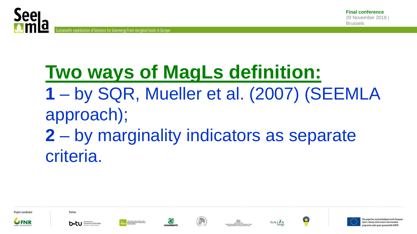

## **Two ways of MagLs definition: 1** – by SQR, Mueller et al. (2007) (SEEMLA approach); **2** – by marginality indicators as separate criteria.





















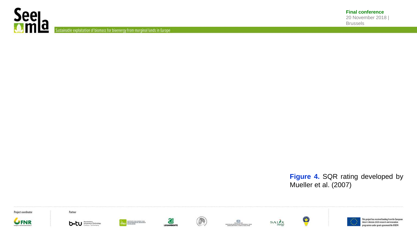

Sustainable exploitation of biomass for bioenergy from marginal lands in Europe

**Figure 4.** SQR rating developed by Mueller et al. (2007)

Project coordinator



Partner







C













This project has received funding from the European<br>Union's Horizon 2020 research and innovation programme under grant agreement No 691874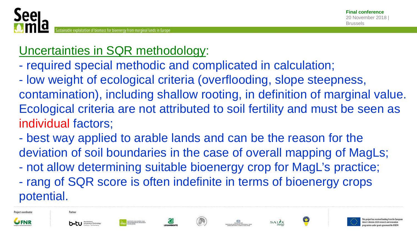

## Uncertainties in SQR methodology:

- required special methodic and complicated in calculation;

- low weight of ecological criteria (overflooding, slope steepness, contamination), including shallow rooting, in definition of marginal value. Ecological criteria are not attributed to soil fertility and must be seen as individual factors;

- best way applied to arable lands and can be the reason for the deviation of soil boundaries in the case of overall mapping of MagLs;

- not allow determining suitable bioenergy crop for MagL's practice;

- rang of SQR score is often indefinite in terms of bioenergy crops potential.





Partner









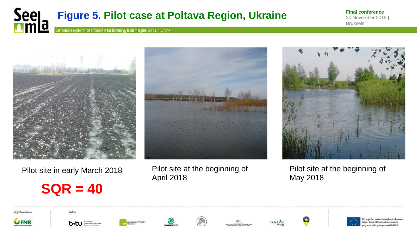

**Final conference** 20 November 2018 | Brussels



Pilot site in early March 2018

## **SQR = 40**



Pilot site at the beginning of April 2018



Pilot site at the beginning of May 2018

Project coordinator



Partner



















project has received funding from the Eu nion's Horizon 2020 research and innovati gramme under grant agreement No 69187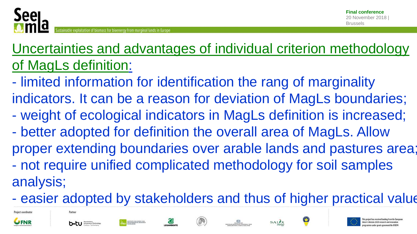

## Uncertainties and advantages of individual criterion methodology of MagLs definition:

- limited information for identification the rang of marginality indicators. It can be a reason for deviation of MagLs boundaries;

- weight of ecological indicators in MagLs definition is increased;
- better adopted for definition the overall area of MagLs. Allow proper extending boundaries over arable lands and pastures area; - not require unified complicated methodology for soil samples analysis;
- easier adopted by stakeholders and thus of higher practical value





Partne













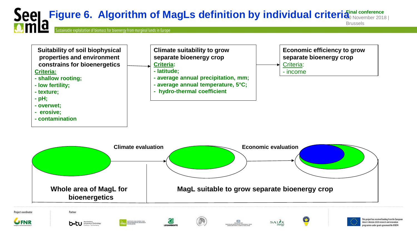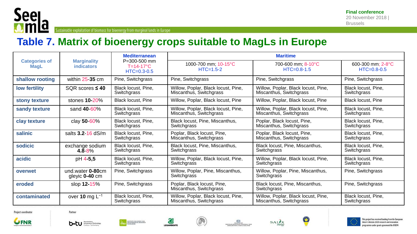

Sustainable exploitation of biomass for bioenergy from marginal lands in Europe

#### **Table 7. Matrix of bioenergy crops suitable to MagLs in Europe**

|                                     |                                         | <b>Mediterranean</b><br>P=300-500 mm<br>$T=14-17$ °C<br>$HTC = 0.3 - 0.5$ | <b>Maritime</b>                                                |                                                                |                                        |  |  |
|-------------------------------------|-----------------------------------------|---------------------------------------------------------------------------|----------------------------------------------------------------|----------------------------------------------------------------|----------------------------------------|--|--|
| <b>Categories of</b><br><b>MagL</b> | <b>Marginality</b><br><i>indicators</i> |                                                                           | 1000-700 mm; 10-15°C<br>$HTC = 1.5 - 2$                        | 700-600 mm; 8-10°C<br>$HTC = 0.8 - 1.5$                        | 600-300 mm; 2-8°C<br>$HTC = 0.8 - 0.5$ |  |  |
| shallow rooting                     | within $25-35$ cm                       | Pine, Switchgrass                                                         | Pine, Switchgrass                                              | Pine, Switchgrass                                              | Pine, Switchgrass                      |  |  |
| low fertility                       | SQR scores $\leq 40$                    | Black locust, Pine,<br>Switchgrass                                        | Willow, Poplar, Black locust, Pine,<br>Miscanthus, Switchgrass | Willow, Poplar, Black locust, Pine,<br>Miscanthus, Switchgrass | Black locust, Pine,<br>Switchgrass     |  |  |
| stony texture                       | stones 10-20%                           | <b>Black locust, Pine</b>                                                 | Willow, Poplar, Black locust, Pine                             | Willow, Poplar, Black locust, Pine                             | <b>Black locust, Pine</b>              |  |  |
| sandy texture                       | sand 40-60%                             | Black locust, Pine,<br>Switchgrass                                        | Willow, Poplar, Black locust, Pine,<br>Miscanthus, Switchgrass | Willow, Poplar, Black locust, Pine,<br>Miscanthus, Switchgrass | Black locust, Pine,<br>Switchgrass     |  |  |
| clay texture                        | clay 50-60%                             | Black locust, Pine,<br>Switchgrass                                        | Black locust, Pine, Miscanthus,<br>Switchgrass                 | Poplar, Black locust, Pine,<br>Miscanthus, Switchgrass         | Black locust, Pine,<br>Switchgrass     |  |  |
| salinic                             | salts $3.2 - 16$ dS/m                   | Black locust, Pine,<br>Switchgrass                                        | Poplar, Black locust, Pine,<br>Miscanthus, Switchgrass         | Poplar, Black locust, Pine,<br>Miscanthus, Switchgrass         | Black locust, Pine,<br>Switchgrass     |  |  |
| sodicic                             | exchange sodium<br>$4.8 - 8%$           | Black locust, Pine,<br>Switchgrass                                        | Black locust, Pine, Miscanthus,<br>Switchgrass                 | Black locust, Pine, Miscanthus,<br>Switchgrass                 | Black locust, Pine,<br>Switchgrass     |  |  |
| acidic                              | pH 4-5,5                                | Black locust, Pine,<br>Switchgrass                                        | Willow, Poplar, Black locust, Pine,<br>Switchgrass             | Willow, Poplar, Black locust, Pine,<br>Switchgrass             | Black locust, Pine,<br>Switchgrass     |  |  |
| overwet                             | und.water 0-80cm<br>gleyic $0-40$ cm    | Pine, Switchgrass                                                         | Willow, Poplar, Pine, Miscanthus,<br>Switchgrass               | Willow, Poplar, Pine, Miscanthus,<br>Switchgrass               | Pine, Switchgrass                      |  |  |
| eroded                              | slop 12-15%                             | Pine, Switchgrass                                                         | Poplar, Black locust, Pine,<br>Miscanthus, Switchgrass         | Black locust, Pine, Miscanthus,<br>Switchgrass                 | Pine, Switchgrass                      |  |  |
| contaminated                        | over 10 mg $L^{-1}$                     | Black locust, Pine,<br>Switchgrass                                        | Willow, Poplar, Black locust, Pine,<br>Miscanthus, Switchgrass | Willow, Poplar, Black locust, Pine,<br>Miscanthus, Switchgrass | Black locust, Pine,<br>Switchgrass     |  |  |

Project coordinator







Œ

LEGAMBIENTE









This project has received funding from the European

Union's Horizon 2020 research and innovation programme under grant agreement No 691874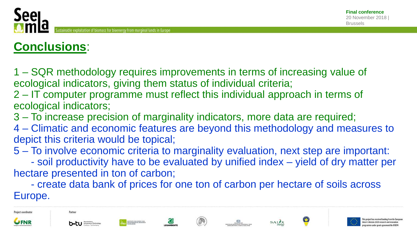## **Conclusions**:

1 – SQR methodology requires improvements in terms of increasing value of ecological indicators, giving them status of individual criteria;

2 – IT computer programme must reflect this individual approach in terms of ecological indicators;

- 3 To increase precision of marginality indicators, more data are required;
- 4 Climatic and economic features are beyond this methodology and measures to depict this criteria would be topical;
- 5 To involve economic criteria to marginality evaluation, next step are important:

 - soil productivity have to be evaluated by unified index – yield of dry matter per hectare presented in ton of carbon;

 - create data bank of prices for one ton of carbon per hectare of soils across Europe.





Partner